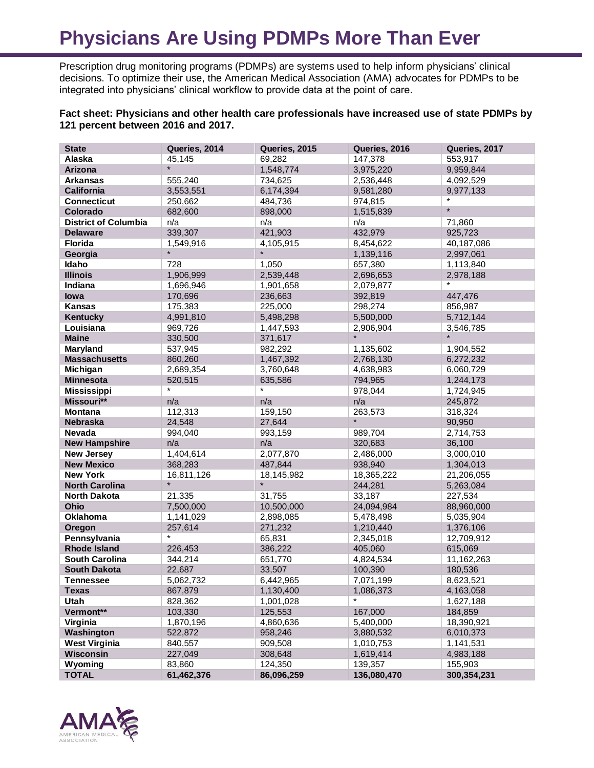## **Physicians Are Using PDMPs More Than Ever**

Prescription drug monitoring programs (PDMPs) are systems used to help inform physicians' clinical decisions. To optimize their use, the American Medical Association (AMA) advocates for PDMPs to be integrated into physicians' clinical workflow to provide data at the point of care.

## **Fact sheet: Physicians and other health care professionals have increased use of state PDMPs by 121 percent between 2016 and 2017.**

| <b>State</b>                | Queries, 2014 | Queries, 2015 | Queries, 2016 | Queries, 2017 |
|-----------------------------|---------------|---------------|---------------|---------------|
| Alaska                      | 45,145        | 69,282        | 147,378       | 553,917       |
| Arizona                     | $\star$       | 1,548,774     | 3,975,220     | 9,959,844     |
| <b>Arkansas</b>             | 555,240       | 734,625       | 2,536,448     | 4,092,529     |
| <b>California</b>           | 3,553,551     | 6,174,394     | 9,581,280     | 9,977,133     |
| <b>Connecticut</b>          | 250,662       | 484,736       | 974,815       |               |
| Colorado                    | 682,600       | 898,000       | 1,515,839     | $\star$       |
| <b>District of Columbia</b> | n/a           | n/a           | n/a           | 71,860        |
| <b>Delaware</b>             | 339,307       | 421,903       | 432,979       | 925,723       |
| Florida                     | 1,549,916     | 4,105,915     | 8,454,622     | 40,187,086    |
| Georgia                     | $\star$       |               | 1,139,116     | 2,997,061     |
| Idaho                       | 728           | 1,050         | 657,380       | 1,113,840     |
| <b>Illinois</b>             | 1,906,999     | 2,539,448     | 2,696,653     | 2,978,188     |
| Indiana                     | 1,696,946     | 1,901,658     | 2,079,877     | $\star$       |
| lowa                        | 170,696       | 236,663       | 392,819       | 447,476       |
| Kansas                      | 175,383       | 225,000       | 298,274       | 856,987       |
| Kentucky                    | 4,991,810     | 5,498,298     | 5,500,000     | 5,712,144     |
| Louisiana                   | 969,726       | 1,447,593     | 2,906,904     | 3,546,785     |
| <b>Maine</b>                | 330,500       | 371,617       |               |               |
| Maryland                    | 537,945       | 982,292       | 1.135.602     | 1,904,552     |
| <b>Massachusetts</b>        | 860,260       | 1,467,392     | 2,768,130     | 6,272,232     |
| <b>Michigan</b>             | 2,689,354     | 3,760,648     | 4,638,983     | 6,060,729     |
| <b>Minnesota</b>            | 520,515       | 635,586       | 794,965       | 1,244,173     |
| <b>Mississippi</b>          | *             | $\star$       | 978,044       | 1,724,945     |
| Missouri**                  | n/a           | n/a           | n/a           | 245,872       |
| <b>Montana</b>              | 112,313       | 159,150       | 263,573       | 318,324       |
| <b>Nebraska</b>             | 24,548        | 27,644        | $\star$       | 90,950        |
| Nevada                      | 994,040       | 993,159       | 989,704       | 2,714,753     |
| <b>New Hampshire</b>        | n/a           | n/a           | 320,683       | 36,100        |
| <b>New Jersey</b>           | 1,404,614     | 2,077,870     | 2,486,000     | 3,000,010     |
| <b>New Mexico</b>           | 368,283       | 487,844       | 938,940       | 1,304,013     |
| <b>New York</b>             | 16,811,126    | 18,145,982    | 18,365,222    | 21,206,055    |
| <b>North Carolina</b>       | $\star$       | $\star$       | 244,281       | 5,263,084     |
| <b>North Dakota</b>         | 21,335        | 31,755        | 33,187        | 227,534       |
| Ohio                        | 7,500,000     | 10,500,000    | 24,094,984    | 88,960,000    |
| Oklahoma                    | 1,141,029     | 2,898,085     | 5,478,498     | 5,035,904     |
| Oregon                      | 257,614       | 271,232       | 1,210,440     | 1,376,106     |
| Pennsylvania                | *             | 65,831        | 2,345,018     | 12,709,912    |
| <b>Rhode Island</b>         | 226,453       | 386,222       | 405,060       | 615,069       |
| <b>South Carolina</b>       | 344,214       | 651,770       | 4,824,534     | 11,162,263    |
| <b>South Dakota</b>         | 22,687        | 33,507        | 100,390       | 180,536       |
| Tennessee                   | 5,062,732     | 6,442,965     | 7,071,199     | 8,623,521     |
| <b>Texas</b>                | 867,879       | 1,130,400     | 1,086,373     | 4,163,058     |
| Utah                        | 828,362       | 1,001,028     |               | 1,627,188     |
| Vermont**                   | 103,330       | 125,553       | 167,000       | 184,859       |
| Virginia                    | 1,870,196     | 4,860,636     | 5,400,000     | 18,390,921    |
| Washington                  | 522,872       | 958,246       | 3,880,532     | 6,010,373     |
| <b>West Virginia</b>        | 840,557       | 909,508       | 1,010,753     | 1,141,531     |
| Wisconsin                   | 227,049       | 308,648       | 1,619,414     | 4,983,188     |
| Wyoming                     | 83,860        | 124,350       | 139,357       | 155,903       |
| <b>TOTAL</b>                | 61,462,376    | 86,096,259    | 136,080,470   | 300,354,231   |